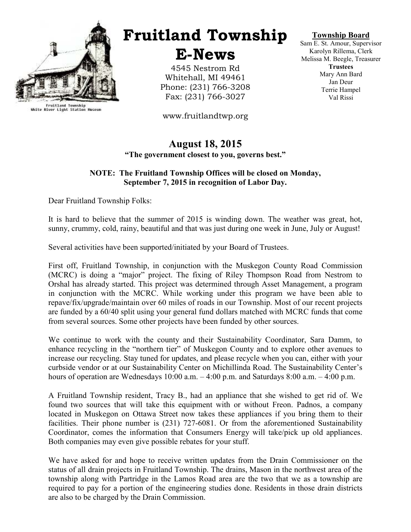

Fruitland Township<br>White River Light Station Museum

## Fruitland Township

E-News

4545 Nestrom Rd Whitehall, MI 49461 Phone: (231) 766-3208 Fax: (231) 766-3027

www.fruitlandtwp.org

#### Township Board

Sam E. St. Amour, Supervisor Karolyn Rillema, Clerk Melissa M. Beegle, Treasurer **Trustees** Mary Ann Bard Jan Deur Terrie Hampel Val Rissi

#### August 18, 2015 "The government closest to you, governs best."

#### NOTE: The Fruitland Township Offices will be closed on Monday, September 7, 2015 in recognition of Labor Day.

Dear Fruitland Township Folks:

It is hard to believe that the summer of 2015 is winding down. The weather was great, hot, sunny, crummy, cold, rainy, beautiful and that was just during one week in June, July or August!

Several activities have been supported/initiated by your Board of Trustees.

First off, Fruitland Township, in conjunction with the Muskegon County Road Commission (MCRC) is doing a "major" project. The fixing of Riley Thompson Road from Nestrom to Orshal has already started. This project was determined through Asset Management, a program in conjunction with the MCRC. While working under this program we have been able to repave/fix/upgrade/maintain over 60 miles of roads in our Township. Most of our recent projects are funded by a 60/40 split using your general fund dollars matched with MCRC funds that come from several sources. Some other projects have been funded by other sources.

We continue to work with the county and their Sustainability Coordinator, Sara Damm, to enhance recycling in the "northern tier" of Muskegon County and to explore other avenues to increase our recycling. Stay tuned for updates, and please recycle when you can, either with your curbside vendor or at our Sustainability Center on Michillinda Road. The Sustainability Center's hours of operation are Wednesdays 10:00 a.m.  $-4:00$  p.m. and Saturdays 8:00 a.m.  $-4:00$  p.m.

A Fruitland Township resident, Tracy B., had an appliance that she wished to get rid of. We found two sources that will take this equipment with or without Freon. Padnos, a company located in Muskegon on Ottawa Street now takes these appliances if you bring them to their facilities. Their phone number is (231) 727-6081. Or from the aforementioned Sustainability Coordinator, comes the information that Consumers Energy will take/pick up old appliances. Both companies may even give possible rebates for your stuff.

We have asked for and hope to receive written updates from the Drain Commissioner on the status of all drain projects in Fruitland Township. The drains, Mason in the northwest area of the township along with Partridge in the Lamos Road area are the two that we as a township are required to pay for a portion of the engineering studies done. Residents in those drain districts are also to be charged by the Drain Commission.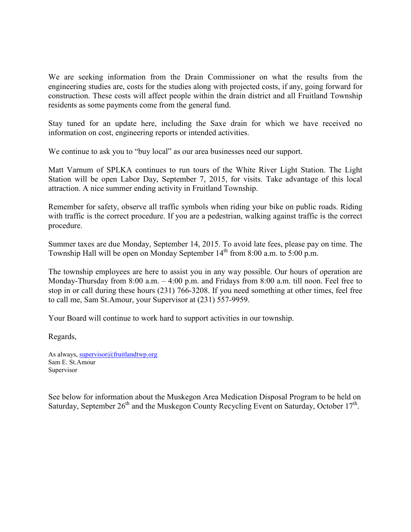We are seeking information from the Drain Commissioner on what the results from the engineering studies are, costs for the studies along with projected costs, if any, going forward for construction. These costs will affect people within the drain district and all Fruitland Township residents as some payments come from the general fund.

Stay tuned for an update here, including the Saxe drain for which we have received no information on cost, engineering reports or intended activities.

We continue to ask you to "buy local" as our area businesses need our support.

Matt Varnum of SPLKA continues to run tours of the White River Light Station. The Light Station will be open Labor Day, September 7, 2015, for visits. Take advantage of this local attraction. A nice summer ending activity in Fruitland Township.

Remember for safety, observe all traffic symbols when riding your bike on public roads. Riding with traffic is the correct procedure. If you are a pedestrian, walking against traffic is the correct procedure.

Summer taxes are due Monday, September 14, 2015. To avoid late fees, please pay on time. The Township Hall will be open on Monday September  $14<sup>th</sup>$  from 8:00 a.m. to 5:00 p.m.

The township employees are here to assist you in any way possible. Our hours of operation are Monday-Thursday from 8:00 a.m.  $-4:00$  p.m. and Fridays from 8:00 a.m. till noon. Feel free to stop in or call during these hours (231) 766-3208. If you need something at other times, feel free to call me, Sam St.Amour, your Supervisor at (231) 557-9959.

Your Board will continue to work hard to support activities in our township.

Regards,

As always, supervisor@fruitlandtwp.org Sam E. St.Amour Supervisor

See below for information about the Muskegon Area Medication Disposal Program to be held on Saturday, September  $26<sup>th</sup>$  and the Muskegon County Recycling Event on Saturday, October  $17<sup>th</sup>$ .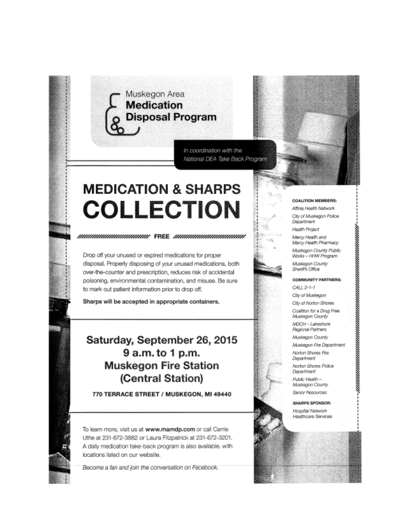## Muskegon Area **Medication Disposal Program**

In coordination with the National DEA Take Back Program

# **MEDICATION & SHARPS COLLECTION**

*MHUMMMMMMMMMMMMH* FREE *MHUMMMMMMMMMMM* 

Drop off your unused or expired medications for proper disposal. Properly disposing of your unused medications, both over-the-counter and prescription, reduces risk of accidental poisoning, environmental contamination, and misuse. Be sure to mark out patient information prior to drop off.

Sharps will be accepted in appropriate containers.

### Saturday, September 26, 2015 9 a.m. to 1 p.m. **Muskegon Fire Station** (Central Station)

770 TERRACE STREET / MUSKEGON, MI 49440

To learn more, visit us at www.mamdp.com or call Carrie Uthe at 231-672-3882 or Laura Fitzpatrick at 231-672-3201. A daily medication take-back program is also available, with locations listed on our website.

Become a fan and join the conversation on Facebook.

#### **COALITION MEMBERS:**

Affinia Health Natwork City of Muskegon Police Department Health Project Mercy Health and

Marcy Health Pharmacy Muskegon County Public Works - HHW Program Muskegan County Sheriff's Office

#### **COMMUNITY PARTNERS:**

CALL 2-1-1

City of Muskegon City of Norton Shores Coaltion for a Drug Free Muskegon County MDCH-Lakeshore

Regional Partners Muskegon County

Muskegon Fire Department

Norton Shores Fire Department

Norton Shores Police Department

Public Health -Muskegon County Senior Resources

SHARPS SPONSOR:

Hospital Network Heathcare Services